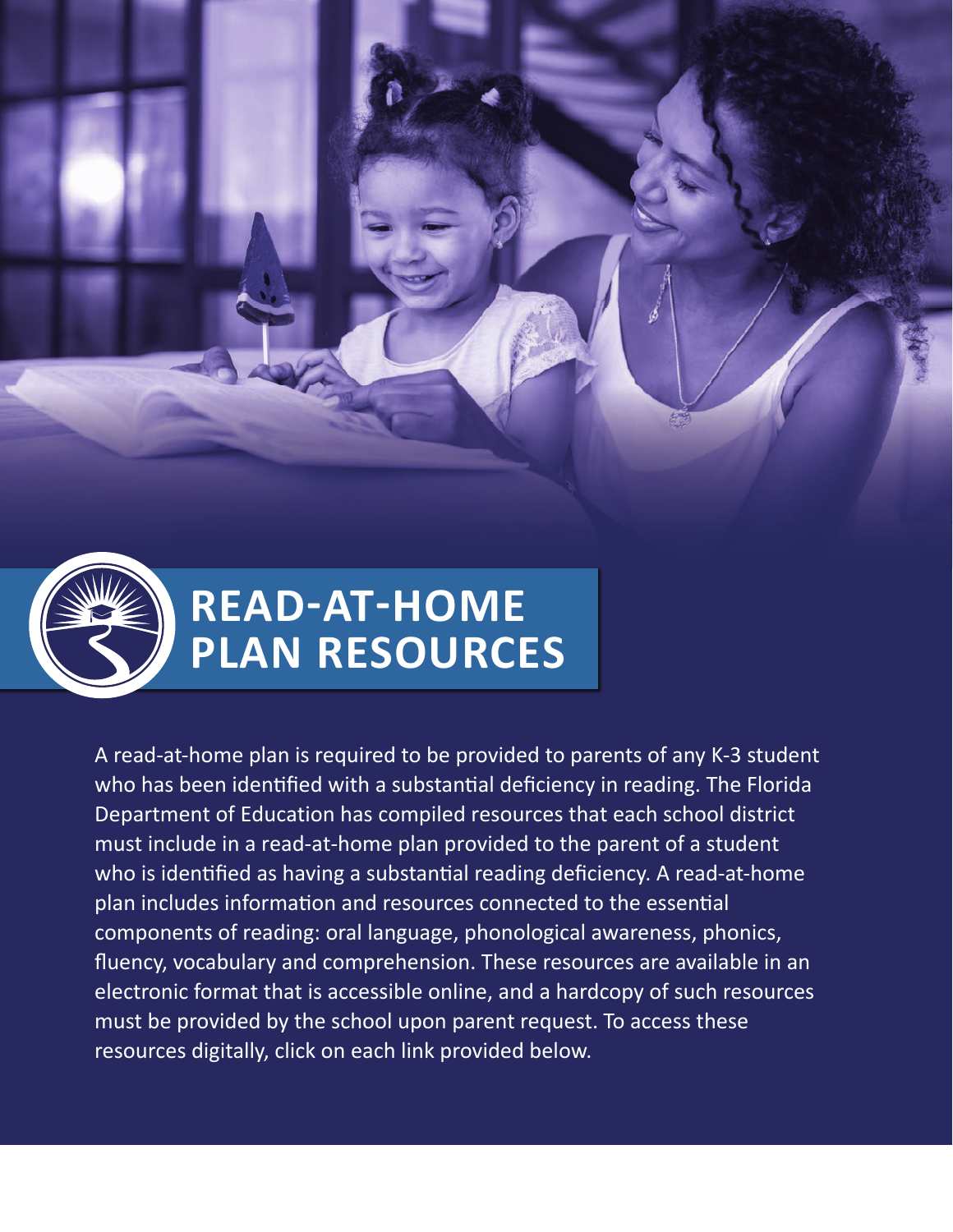



A read-at-home plan is required to be provided to parents of any K-3 student who has been identified with a substantial deficiency in reading. The Florida Department of Education has compiled resources that each school district must include in a read-at-home plan provided to the parent of a student who is identified as having a substantial reading deficiency. A read-at-home plan includes information and resources connected to the essential components of reading: oral language, phonological awareness, phonics, fluency, vocabulary and comprehension. These resources are available in an electronic format that is accessible online, and a hardcopy of such resources must be provided by the school upon parent request. To access these resources digitally, click on each link provided below.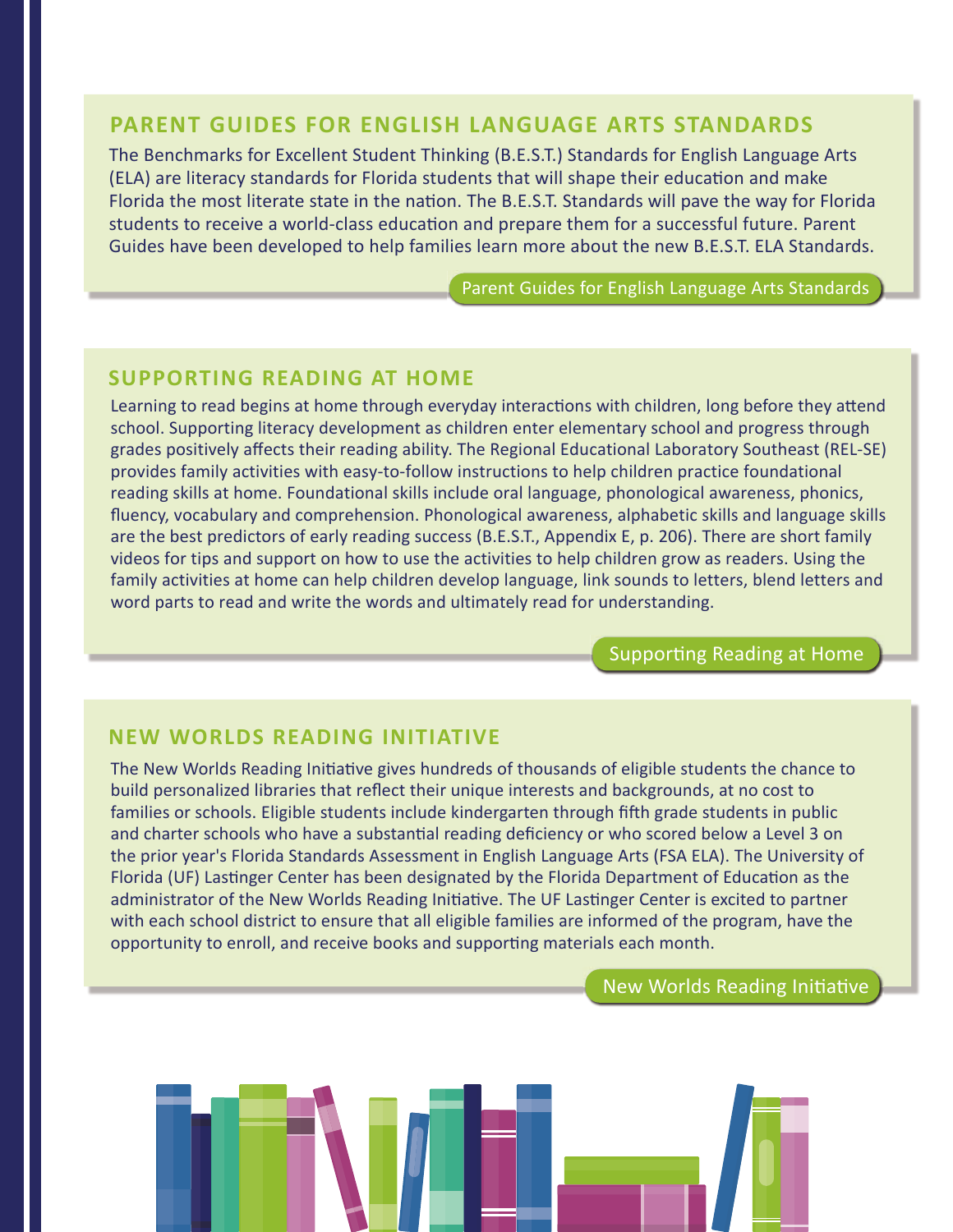### **PARENT GUIDES FOR ENGLISH LANGUAGE ARTS STANDARDS**

The Benchmarks for Excellent Student Thinking (B.E.S.T.) Standards for English Language Arts (ELA) are literacy standards for Florida students that will shape their education and make Florida the most literate state in the nation. The B.E.S.T. Standards will pave the way for Florida students to receive a world-class education and prepare them for a successful future. Parent Guides have been developed to help families learn more about the new B.E.S.T. ELA Standards.

[Parent Guides for English Language Arts Standards](https://www.fldoe.org/academics/standards/just-read-fl/parent-guides-for-english-language-arts.stml)

## **SUPPORTING READING AT HOME**

Learning to read begins at home through everyday interactions with children, long before they attend school. Supporting literacy development as children enter elementary school and progress through grades positively affects their reading ability. The Regional Educational Laboratory Southeast (REL-SE) provides family activities with easy-to-follow instructions to help children practice foundational reading skills at home. Foundational skills include oral language, phonological awareness, phonics, fluency, vocabulary and comprehension. Phonological awareness, alphabetic skills and language skills are the best predictors of early reading success (B.E.S.T., Appendix E, p. 206). There are short family videos for tips and support on how to use the activities to help children grow as readers. Using the family activities at home can help children develop language, link sounds to letters, blend letters and word parts to read and write the words and ultimately read for understanding.

[Supporting Reading at Home](https://ies.ed.gov/ncee/edlabs/regions/southeast/foundations/index.asp)

### **NEW WORLDS READING INITIATIVE**

The New Worlds Reading Initiative gives hundreds of thousands of eligible students the chance to build personalized libraries that reflect their unique interests and backgrounds, at no cost to families or schools. Eligible students include kindergarten through fifth grade students in public and charter schools who have a substantial reading deficiency or who scored below a Level 3 on the prior year's Florida Standards Assessment in English Language Arts (FSA ELA). The University of Florida (UF) Lastinger Center has been designated by the Florida Department of Education as the administrator of the New Worlds Reading Initiative. The UF Lastinger Center is excited to partner with each school district to ensure that all eligible families are informed of the program, have the opportunity to enroll, and receive books and supporting materials each month.

[New Worlds Reading Initiative](https://newworldsreading.com/)

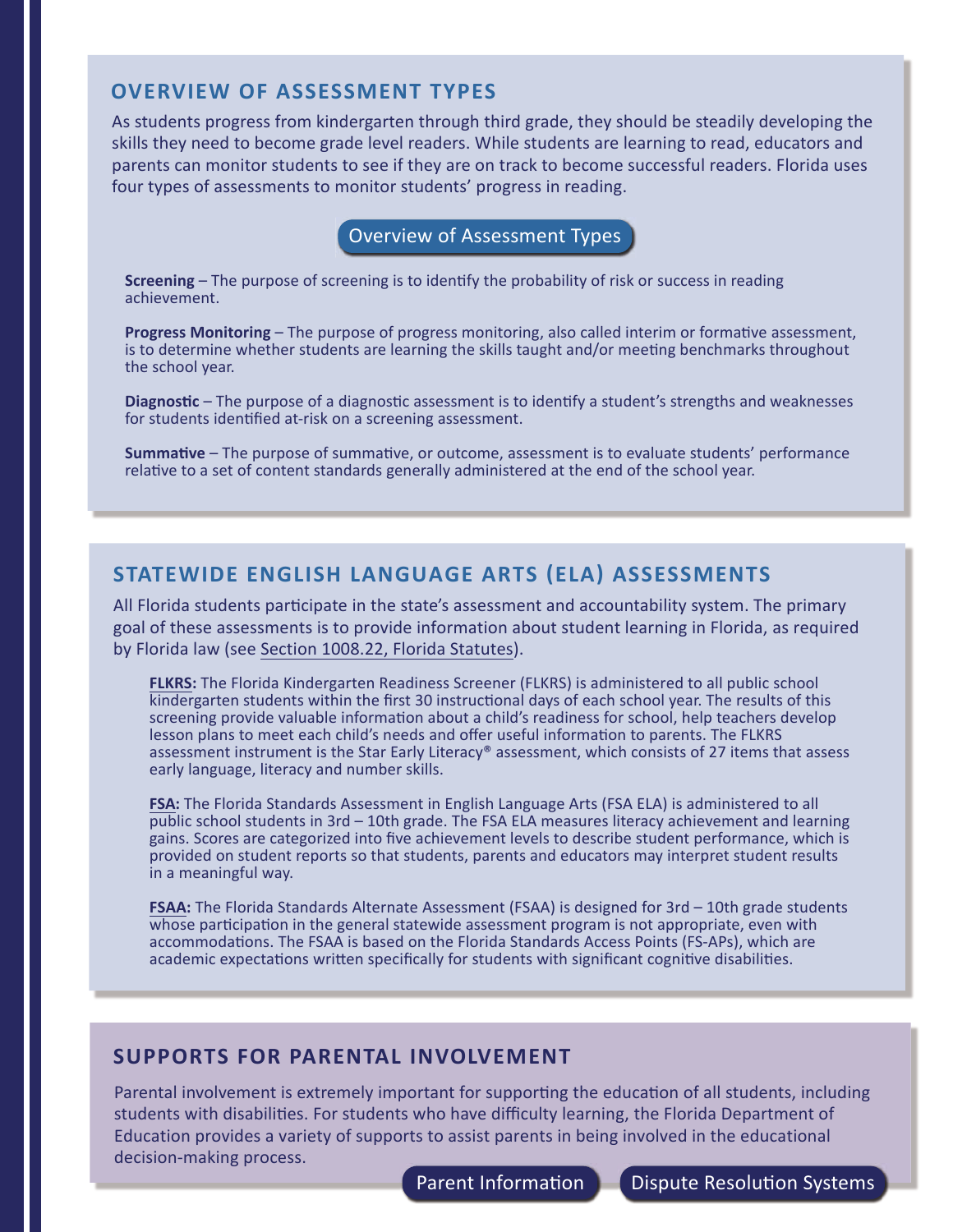#### **OVERVIEW OF ASSESSMENT TYPES**

As students progress from kindergarten through third grade, they should be steadily developing the skills they need to become grade level readers. While students are learning to read, educators and parents can monitor students to see if they are on track to become successful readers. Florida uses four types of assessments to monitor students' progress in reading.

[Overview of Assessment Types](https://ies.ed.gov/ncee/edlabs/infographics/pdf/REL_SE_Assessment_Terms_Used_in_Reading.pdf)

**Screening** – The purpose of screening is to identify the probability of risk or success in reading achievement.

**Progress Monitoring** – The purpose of progress monitoring, also called interim or formative assessment, is to determine whether students are learning the skills taught and/or meeting benchmarks throughout the school year.

**Diagnostic** – The purpose of a diagnostic assessment is to identify a student's strengths and weaknesses for students identified at-risk on a screening assessment.

**Summative** – The purpose of summative, or outcome, assessment is to evaluate students' performance relative to a set of content standards generally administered at the end of the school year.

## **STATEWIDE ENGLISH LANGUAGE ARTS (ELA) ASSESSMENTS**

All Florida students participate in the state's assessment and accountability system. The primary goal of these assessments is to provide information about student learning in Florida, as required by Florid[a law \(see Section 1008.22,](http://www.leg.state.fl.us/Statutes/?App_mode=Display_Statute&URL=1000-1099/1008/Sections/1008.22.html) Florida Statutes).

**FLKRS:** The Florida Kindergarten Readiness Screener (FLKRS) is administered to all public school kindergarten students within the first 30 instructional days of each school year. The results of this [screening provide valuable information about a child's readiness for school, help teachers develop](https://www.fldoe.org/accountability/assessments/k-12-student-assessment/flkrs/faq.stml)  lesson plans to meet each child's needs and offer useful information to parents. The FLKRS assessment instrument is the Star Early Literacy® assessment, which consists of 27 items that assess early language, literacy and number skills.

**FSA:** The Florida Standards Assessment in English Language Arts (FSA ELA) is administered to all [public school students in 3rd – 10th grade. The FSA ELA measures literacy achievement and learning](https://www.fldoe.org/core/fileparse.php/5663/urlt/Grade-LevelFS2022.pdf)  gains. Scores are categorized into five achievement levels to describe student performance, which is provided on student reports so that students, parents and educators may interpret student results in a meaningful way.

**FSAA:** The Florida Standards Alternate Assessment (FSAA) is designed for 3rd – 10th grade students [whose participation in the general statewide assessment program is not appropriate, even with](https://www.fldoe.org/accountability/assessments/k-12-student-assessment/fl-alternate-assessment.stml)  accommodations. The FSAA is based on the Florida Standards Access Points (FS-APs), which are academic expectations written specifically for students with significant cognitive disabilities.

#### **SUPPORTS FOR PARENTAL INVOLVEMENT**

Parental involvement is extremely important for supporting the education of all students, including students with disabilities. For students who have difficulty learning, the Florida Department of Education provides a variety of supports to assist parents in being involved in the educational decision-making process.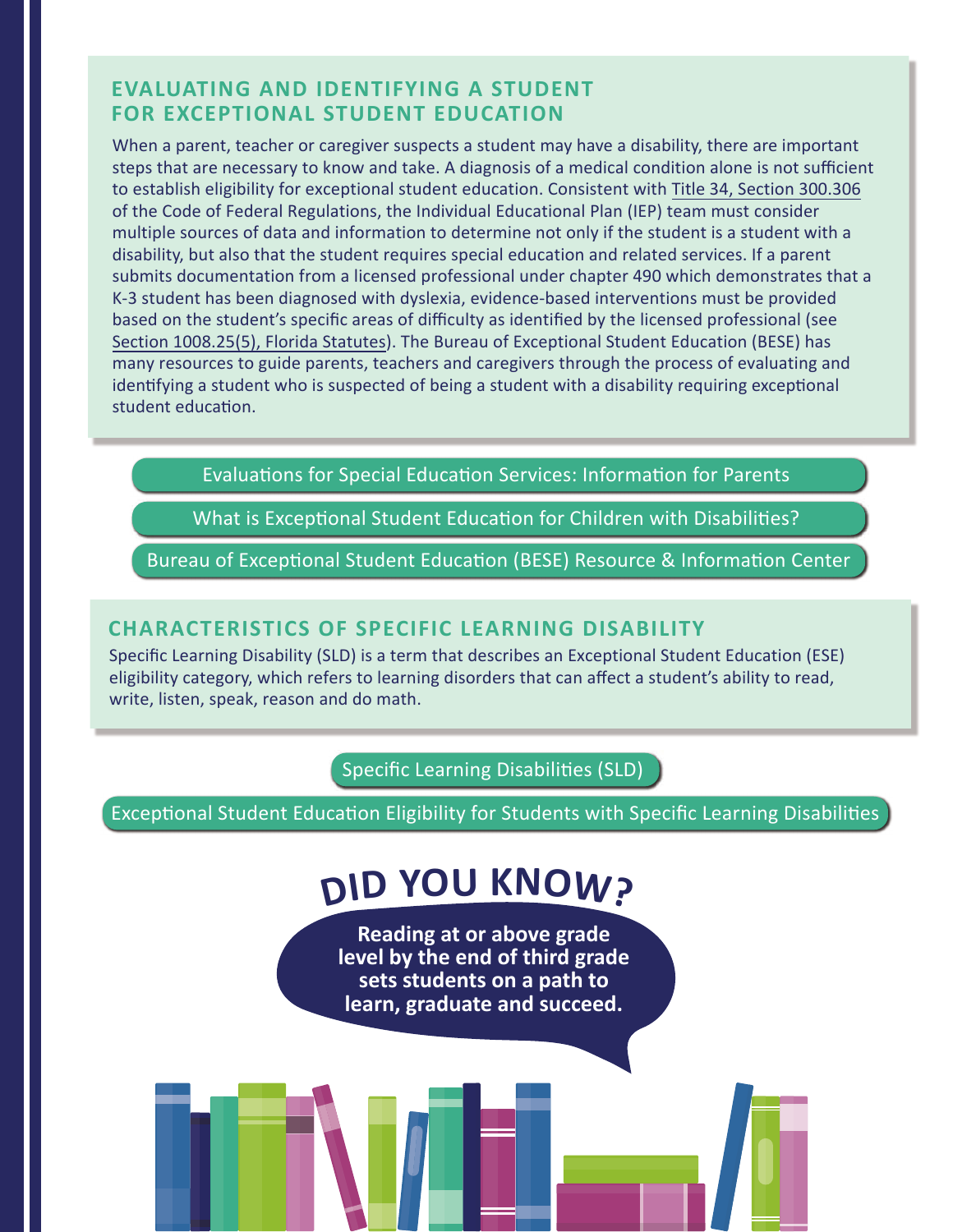## **EVALUATING AND IDENTIFYING A STUDENT FOR EXCEPTIONAL STUDENT EDUCATION**

When a parent, teacher or caregiver suspects a student may have a disability, there are important steps that are necessary to know and take. A diagnosis of a medical condition alone is not sufficient to establish eligibility for exceptional student education. Consistent with Title 34, [Section 300.306](https://sites.ed.gov/idea/regs/b/d/300.306) of the Code of Federal Regulations, the Individual Educational Plan (IEP) team must consider multiple sources of data and information to determine not only if the student is a student with a disability, but also that the student requires special education and related services. If a parent submits documentation from a licensed professional under chapter 490 which demonstrates that a K-3 student has been diagnosed with dyslexia, evidence-based interventions must be provided based on the student's specific areas of difficulty as identified by the licensed professional (see Section 1008.25(5), [Florida Statutes\).](http://www.leg.state.fl.us/Statutes/index.cfm?App_mode=Display_Statute&URL=1000-1099/1008/Sections/1008.25.html) The Bureau of Exceptional Student Education (BESE) has many resources to guide parents, teachers and caregivers through the process of evaluating and identifying a student who is suspected of being a student with a disability requiring exceptional student education.

[Evaluations for Special Education Services: Information for Parents](https://www.fldoe.org/core/fileparse.php/7690/urlt/0070088-idp.pdf) 

[What is Exceptional Student Education for Children with Disabilities?](https://www.fldoe.org/core/fileparse.php/7690/urlt/0070089-ese.pdf) 

[Bureau of Exceptional Student Education \(BESE\) Resource & Information Center](https://www.fldoe.org/academics/exceptional-student-edu/beess-resources/)

#### **CHARACTERISTICS OF SPECIFIC LEARNING DISABILITY**

Specific Learning Disability (SLD) is a term that describes an Exceptional Student Education (ESE) eligibility category, which refers to learning disorders that can affect a student's ability to read, write, listen, speak, reason and do math.

[Specific Learning Disabilities \(SLD\)](https://www.fldoe.org/academics/exceptional-student-edu/ese-eligibility/specific-learning-disabilities-sld/index.stml) 

[Exceptional Student Education Eligibility for Students with Specific Learning Disabilities](https://info.fldoe.org/docushare/dsweb/Get/Document-5586/dps-2009-177.pdf)

# **DI<sup>D</sup> <sup>Y</sup>O<sup>U</sup> <sup>K</sup>NOW?**

**Reading at or above grade level by the end of third grade sets students on a path to learn, graduate and succeed.**